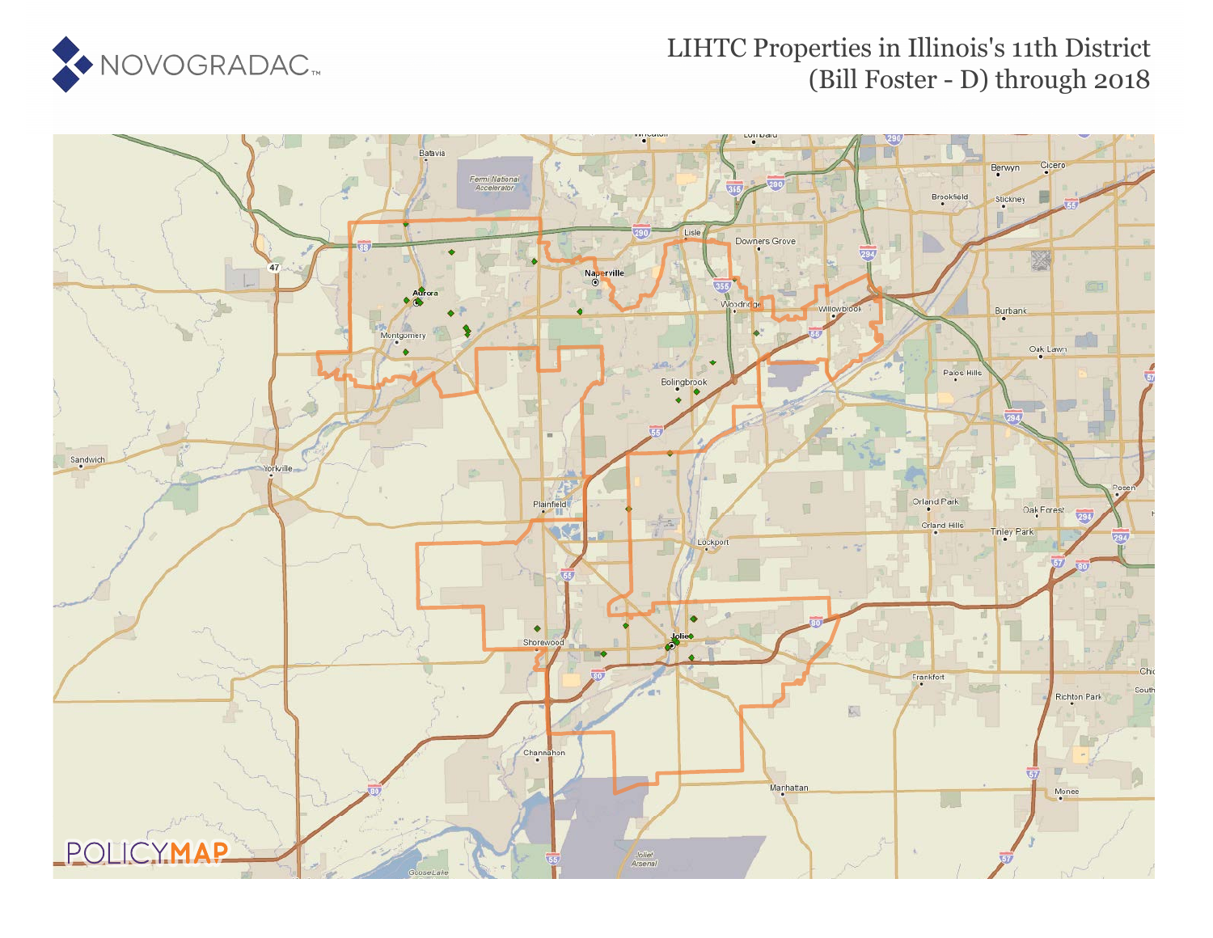

## LIHTC Properties in Illinois's 11th District (Bill Foster - D) through 2018

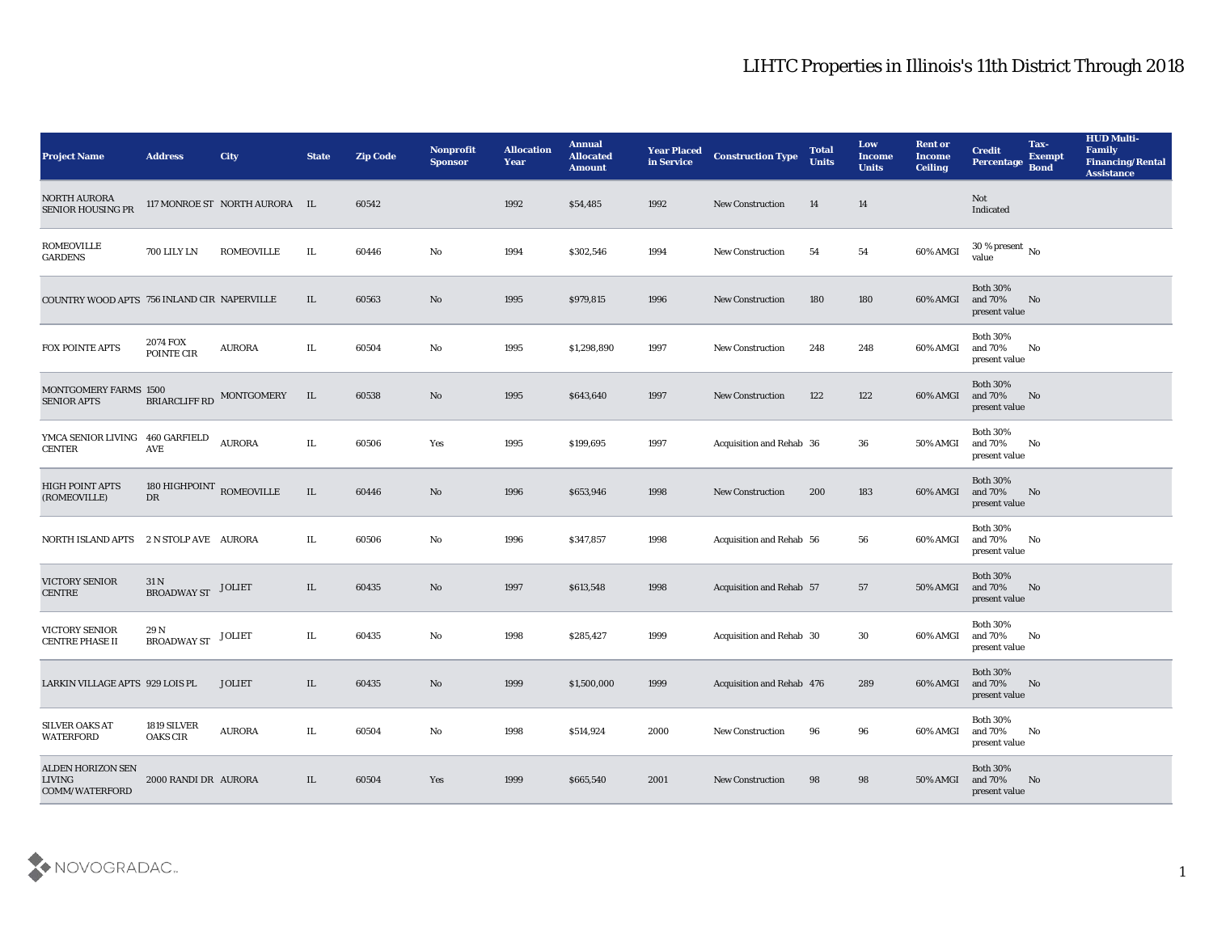## LIHTC Properties in Illinois's 11th District Through 2018

| <b>Project Name</b>                                         | <b>Address</b>                 | City                          | <b>State</b> | <b>Zip Code</b> | Nonprofit<br><b>Sponsor</b> | <b>Allocation</b><br><b>Year</b> | <b>Annual</b><br><b>Allocated</b><br><b>Amount</b> | <b>Year Placed</b><br>in Service | <b>Construction Type</b>        | <b>Total</b><br><b>Units</b> | Low<br><b>Income</b><br><b>Units</b> | <b>Rent or</b><br>Income<br><b>Ceiling</b> | <b>Credit</b><br><b>Percentage</b>             | Tax-<br><b>Exempt</b><br><b>Bond</b> | <b>HUD Multi-</b><br>Family<br><b>Financing/Rental</b><br><b>Assistance</b> |
|-------------------------------------------------------------|--------------------------------|-------------------------------|--------------|-----------------|-----------------------------|----------------------------------|----------------------------------------------------|----------------------------------|---------------------------------|------------------------------|--------------------------------------|--------------------------------------------|------------------------------------------------|--------------------------------------|-----------------------------------------------------------------------------|
| <b>NORTH AURORA</b><br><b>SENIOR HOUSING PR</b>             |                                | 117 MONROE ST NORTH AURORA IL |              | 60542           |                             | 1992                             | \$54,485                                           | 1992                             | New Construction                | 14                           | 14                                   |                                            | Not<br>Indicated                               |                                      |                                                                             |
| <b>ROMEOVILLE</b><br><b>GARDENS</b>                         | 700 LILY LN                    | <b>ROMEOVILLE</b>             | IL           | 60446           | No                          | 1994                             | \$302,546                                          | 1994                             | <b>New Construction</b>         | 54                           | 54                                   | 60% AMGI                                   | $30\,\%$ present $\,$ No value                 |                                      |                                                                             |
| COUNTRY WOOD APTS 756 INLAND CIR NAPERVILLE                 |                                |                               | IL           | 60563           | No                          | 1995                             | \$979,815                                          | 1996                             | <b>New Construction</b>         | 180                          | 180                                  | 60% AMGI                                   | <b>Both 30%</b><br>and 70%<br>present value    | No                                   |                                                                             |
| FOX POINTE APTS                                             | <b>2074 FOX</b><br>POINTE CIR  | <b>AURORA</b>                 | IL           | 60504           | No                          | 1995                             | \$1,298,890                                        | 1997                             | <b>New Construction</b>         | 248                          | 248                                  | 60% AMGI                                   | <b>Both 30%</b><br>and 70%<br>present value    | No                                   |                                                                             |
| MONTGOMERY FARMS 1500<br><b>SENIOR APTS</b>                 | BRIARCLIFF RD                  | MONTGOMERY                    | IL           | 60538           | No                          | 1995                             | \$643,640                                          | 1997                             | <b>New Construction</b>         | 122                          | 122                                  | 60% AMGI                                   | <b>Both 30%</b><br>and 70%<br>present value    | No                                   |                                                                             |
| YMCA SENIOR LIVING<br><b>CENTER</b>                         | 460 GARFIELD<br>AVE            | <b>AURORA</b>                 | IL           | 60506           | Yes                         | 1995                             | \$199,695                                          | 1997                             | Acquisition and Rehab 36        |                              | 36                                   | 50% AMGI                                   | <b>Both 30%</b><br>and 70%<br>present value    | No                                   |                                                                             |
| HIGH POINT APTS<br>(ROMEOVILLE)                             | 180 HIGHPOINT ROMEOVILLE<br>DR |                               | $\rm IL$     | 60446           | No                          | 1996                             | \$653,946                                          | 1998                             | <b>New Construction</b>         | 200                          | 183                                  | 60% AMGI                                   | <b>Both 30%</b><br>and 70%<br>present value    | No                                   |                                                                             |
| NORTH ISLAND APTS                                           | 2 N STOLP AVE AURORA           |                               | IL.          | 60506           | No                          | 1996                             | \$347,857                                          | 1998                             | <b>Acquisition and Rehab 56</b> |                              | 56                                   | 60% AMGI                                   | <b>Both 30%</b><br>and 70%<br>present value    | No                                   |                                                                             |
| <b>VICTORY SENIOR</b><br><b>CENTRE</b>                      | 31 N<br><b>BROADWAY ST</b>     | <b>JOLIET</b>                 | IL           | 60435           | No                          | 1997                             | \$613,548                                          | 1998                             | <b>Acquisition and Rehab 57</b> |                              | 57                                   | <b>50% AMGI</b>                            | <b>Both 30%</b><br>and $70\%$<br>present value | No                                   |                                                                             |
| VICTORY SENIOR<br><b>CENTRE PHASE II</b>                    | 29 N<br><b>BROADWAY ST</b>     | <b>JOLIET</b>                 | IL           | 60435           | No                          | 1998                             | \$285,427                                          | 1999                             | Acquisition and Rehab 30        |                              | 30                                   | 60% AMGI                                   | <b>Both 30%</b><br>and $70\%$<br>present value | No                                   |                                                                             |
| LARKIN VILLAGE APTS 929 LOIS PL                             |                                | <b>JOLIET</b>                 | IL.          | 60435           | No                          | 1999                             | \$1,500,000                                        | 1999                             | Acquisition and Rehab 476       |                              | 289                                  | 60% AMGI                                   | <b>Both 30%</b><br>and 70%<br>present value    | No                                   |                                                                             |
| SILVER OAKS AT<br><b>WATERFORD</b>                          | 1819 SILVER<br><b>OAKS CIR</b> | <b>AURORA</b>                 | IL           | 60504           | $\mathbf{N}\mathbf{o}$      | 1998                             | \$514,924                                          | 2000                             | <b>New Construction</b>         | 96                           | 96                                   | 60% AMGI                                   | <b>Both 30%</b><br>and 70%<br>present value    | $\mathbf{N}\mathbf{o}$               |                                                                             |
| <b>ALDEN HORIZON SEN</b><br><b>LIVING</b><br>COMM/WATERFORD | 2000 RANDI DR AURORA           |                               | IL           | 60504           | Yes                         | 1999                             | \$665,540                                          | 2001                             | <b>New Construction</b>         | 98                           | 98                                   | 50% AMGI                                   | Both $30\%$<br>and 70%<br>present value        | No                                   |                                                                             |

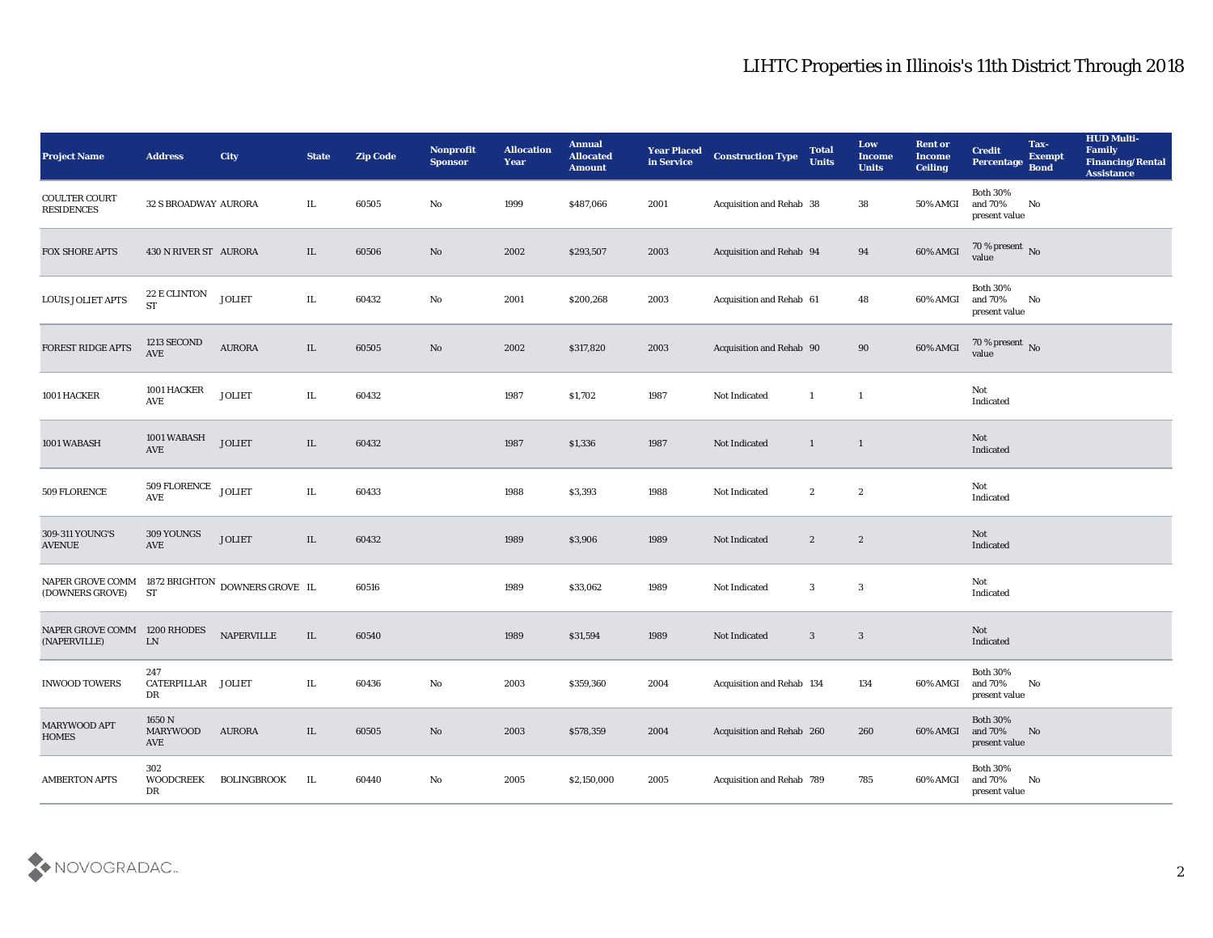## LIHTC Properties in Illinois's 11th District Through 2018

| <b>Project Name</b>                          | <b>Address</b>                  | <b>City</b>                    | <b>State</b> | <b>Zip Code</b> | Nonprofit<br><b>Sponsor</b> | <b>Allocation</b><br><b>Year</b> | <b>Annual</b><br><b>Allocated</b><br><b>Amount</b> | <b>Year Placed</b><br>in Service | <b>Construction Type</b>  | <b>Total</b><br><b>Units</b> | Low<br><b>Income</b><br><b>Units</b> | <b>Rent or</b><br><b>Income</b><br><b>Ceiling</b> | <b>Credit</b><br>Percentage                    | Tax-<br><b>Exempt</b><br><b>Bond</b> | <b>HUD Multi-</b><br>Family<br>Financing/Rental<br><b>Assistance</b> |
|----------------------------------------------|---------------------------------|--------------------------------|--------------|-----------------|-----------------------------|----------------------------------|----------------------------------------------------|----------------------------------|---------------------------|------------------------------|--------------------------------------|---------------------------------------------------|------------------------------------------------|--------------------------------------|----------------------------------------------------------------------|
| <b>COULTER COURT</b><br><b>RESIDENCES</b>    | 32 S BROADWAY AURORA            |                                | IL           | 60505           | No                          | 1999                             | \$487,066                                          | 2001                             | Acquisition and Rehab 38  |                              | 38                                   | 50% AMGI                                          | <b>Both 30%</b><br>and $70\%$<br>present value | No                                   |                                                                      |
| <b>FOX SHORE APTS</b>                        | 430 N RIVER ST AURORA           |                                | IL           | 60506           | No                          | 2002                             | \$293,507                                          | 2003                             | Acquisition and Rehab 94  |                              | 94                                   | $60\%$ AMGI                                       | $70\,\%$ present $\,$ No value                 |                                      |                                                                      |
| <b>LOUIS JOLIET APTS</b>                     | 22 E CLINTON<br><b>ST</b>       | <b>JOLIET</b>                  | IL           | 60432           | No                          | 2001                             | \$200,268                                          | 2003                             | Acquisition and Rehab 61  |                              | 48                                   | 60% AMGI                                          | <b>Both 30%</b><br>and 70%<br>present value    | No                                   |                                                                      |
| FOREST RIDGE APTS                            | 1213 SECOND<br>AVE              | <b>AURORA</b>                  | $\rm IL$     | 60505           | $\rm\thinspace No$          | 2002                             | \$317,820                                          | 2003                             | Acquisition and Rehab 90  |                              | 90                                   | 60% AMGI                                          | $70\,\%$ present $\,$ No value                 |                                      |                                                                      |
| 1001 HACKER                                  | 1001 HACKER<br>AVE              | <b>JOLIET</b>                  | IL           | 60432           |                             | 1987                             | \$1,702                                            | 1987                             | Not Indicated             | $\mathbf{1}$                 | $\mathbf{1}$                         |                                                   | Not<br>Indicated                               |                                      |                                                                      |
| 1001 WABASH                                  | 1001 WABASH<br>AVE              | <b>JOLIET</b>                  | IL           | 60432           |                             | 1987                             | \$1,336                                            | 1987                             | Not Indicated             | $\mathbf{1}$                 | $\overline{1}$                       |                                                   | Not<br>Indicated                               |                                      |                                                                      |
| 509 FLORENCE                                 | 509 FLORENCE<br>AVE             | <b>JOLIET</b>                  | IL           | 60433           |                             | 1988                             | \$3,393                                            | 1988                             | Not Indicated             | $\boldsymbol{2}$             | $\boldsymbol{2}$                     |                                                   | Not<br>Indicated                               |                                      |                                                                      |
| 309-311 YOUNG'S<br><b>AVENUE</b>             | 309 YOUNGS<br>AVE               | <b>JOLIET</b>                  | $\rm IL$     | 60432           |                             | 1989                             | \$3,906                                            | 1989                             | Not Indicated             | $\boldsymbol{2}$             | $\sqrt{2}$                           |                                                   | Not<br>Indicated                               |                                      |                                                                      |
| NAPER GROVE COMM<br>(DOWNERS GROVE)          | <b>ST</b>                       | 1872 BRIGHTON DOWNERS GROVE IL |              | 60516           |                             | 1989                             | \$33,062                                           | 1989                             | Not Indicated             | 3                            | $\mathbf{3}$                         |                                                   | Not<br>Indicated                               |                                      |                                                                      |
| NAPER GROVE COMM 1200 RHODES<br>(NAPERVILLE) | ${\rm LN}$                      | <b>NAPERVILLE</b>              | $\rm IL$     | 60540           |                             | 1989                             | \$31,594                                           | 1989                             | Not Indicated             | $\mathbf{3}$                 | $\mathbf{3}$                         |                                                   | Not<br>Indicated                               |                                      |                                                                      |
| <b>INWOOD TOWERS</b>                         | 247<br>CATERPILLAR JOLIET<br>DR |                                | IL           | 60436           | No                          | 2003                             | \$359,360                                          | 2004                             | Acquisition and Rehab 134 |                              | 134                                  | 60% AMGI                                          | <b>Both 30%</b><br>and 70%<br>present value    | No                                   |                                                                      |
| MARYWOOD APT<br><b>HOMES</b>                 | 1650 N<br>MARYWOOD<br>AVE       | AURORA                         | IL           | 60505           | $\rm\, No$                  | 2003                             | \$578,359                                          | 2004                             | Acquisition and Rehab 260 |                              | 260                                  | 60% AMGI                                          | Both $30\%$<br>and 70%<br>present value        | N <sub>o</sub>                       |                                                                      |
| <b>AMBERTON APTS</b>                         | 302<br><b>WOODCREEK</b><br>DR   | <b>BOLINGBROOK</b>             | IL           | 60440           | $\rm\thinspace No$          | 2005                             | \$2,150,000                                        | 2005                             | Acquisition and Rehab 789 |                              | 785                                  | 60% AMGI                                          | Both $30\%$<br>and 70%<br>present value        | $\mathbf{N}\mathbf{o}$               |                                                                      |